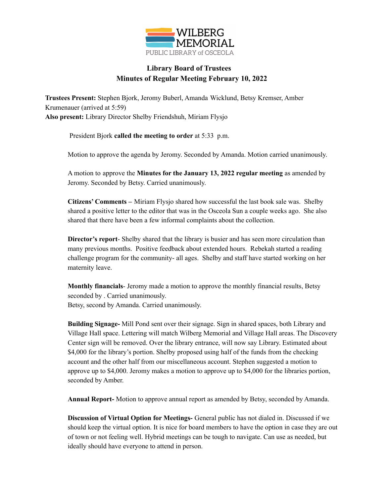

## **Library Board of Trustees Minutes of Regular Meeting February 10, 2022**

**Trustees Present:** Stephen Bjork, Jeromy Buberl, Amanda Wicklund, Betsy Kremser, Amber Krumenauer (arrived at 5:59) **Also present:** Library Director Shelby Friendshuh, Miriam Flysjo

President Bjork **called the meeting to order** at 5:33 p.m.

Motion to approve the agenda by Jeromy. Seconded by Amanda. Motion carried unanimously.

A motion to approve the **Minutes for the January 13, 2022 regular meeting** as amended by Jeromy. Seconded by Betsy. Carried unanimously.

**Citizens' Comments –** Miriam Flysjo shared how successful the last book sale was. Shelby shared a positive letter to the editor that was in the Osceola Sun a couple weeks ago. She also shared that there have been a few informal complaints about the collection.

**Director's report**- Shelby shared that the library is busier and has seen more circulation than many previous months. Positive feedback about extended hours. Rebekah started a reading challenge program for the community- all ages. Shelby and staff have started working on her maternity leave.

**Monthly financials**- Jeromy made a motion to approve the monthly financial results, Betsy seconded by . Carried unanimously. Betsy, second by Amanda. Carried unanimously.

**Building Signage-** Mill Pond sent over their signage. Sign in shared spaces, both Library and Village Hall space. Lettering will match Wilberg Memorial and Village Hall areas. The Discovery Center sign will be removed. Over the library entrance, will now say Library. Estimated about \$4,000 for the library's portion. Shelby proposed using half of the funds from the checking account and the other half from our miscellaneous account. Stephen suggested a motion to approve up to \$4,000. Jeromy makes a motion to approve up to \$4,000 for the libraries portion, seconded by Amber.

**Annual Report-** Motion to approve annual report as amended by Betsy, seconded by Amanda.

**Discussion of Virtual Option for Meetings-** General public has not dialed in. Discussed if we should keep the virtual option. It is nice for board members to have the option in case they are out of town or not feeling well. Hybrid meetings can be tough to navigate. Can use as needed, but ideally should have everyone to attend in person.